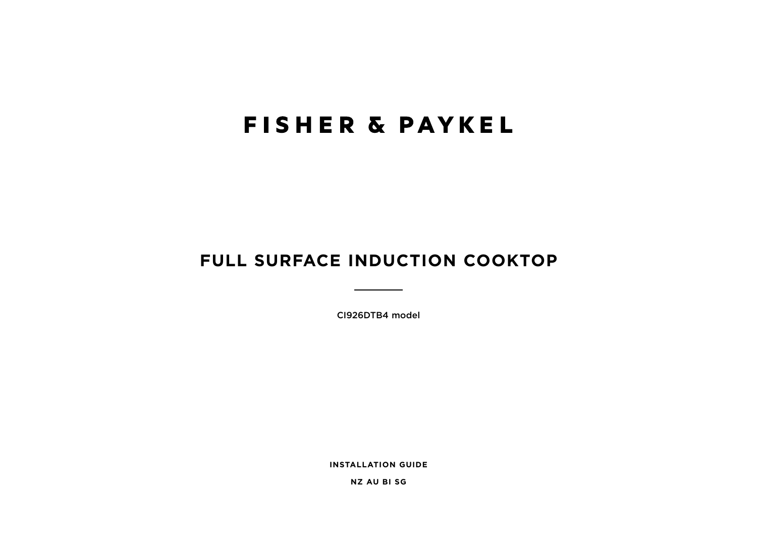# **FISHER & PAYKEL**

## FULL SURFACE INDUCTION COOKTOP

CI926DTB4 model

**INSTALLATION GUIDE** 

**NZ AU BISG**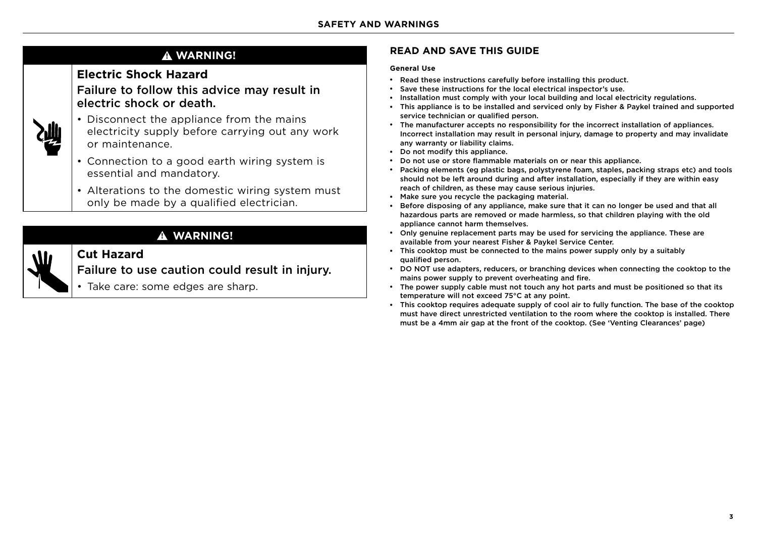### **! WARNING!**

### **Electric Shock Hazard**

Failure to follow this advice may result in electric shock or death.



W

- Disconnect the appliance from the mains electricity supply before carrying out any work or maintenance.
- Connection to a good earth wiring system is essential and mandatory.
- Alterations to the domestic wiring system must only be made by a qualified electrician.

## **! WARNING!**

## **Cut Hazard**

Failure to use caution could result in injury.

• Take care: some edges are sharp.

### **READ AND SAVE THIS GUIDE**

#### **General Use**

- Read these instructions carefully before installing this product.
- Save these instructions for the local electrical inspector's use.
- Installation must comply with your local building and local electricity regulations.
- This appliance is to be installed and serviced only by Fisher & Paykel trained and supported service technician or qualified person.
- The manufacturer accepts no responsibility for the incorrect installation of appliances. Incorrect installation may result in personal injury, damage to property and may invalidate any warranty or liability claims.
- Do not modify this appliance.
- Do not use or store flammable materials on or near this appliance.
- Packing elements (eg plastic bags, polystyrene foam, staples, packing straps etc) and tools should not be left around during and after installation, especially if they are within easy reach of children, as these may cause serious injuries.
- Make sure you recycle the packaging material.
- Before disposing of any appliance, make sure that it can no longer be used and that all hazardous parts are removed or made harmless, so that children playing with the old appliance cannot harm themselves.
- Only genuine replacement parts may be used for servicing the appliance. These are available from your nearest Fisher & Paykel Service Center.
- This cooktop must be connected to the mains power supply only by a suitably qualified person.
- DO NOT use adapters, reducers, or branching devices when connecting the cooktop to the mains power supply to prevent overheating and fire.
- The power supply cable must not touch any hot parts and must be positioned so that its temperature will not exceed 75°C at any point.
- This cooktop requires adequate supply of cool air to fully function. The base of the cooktop must have direct unrestricted ventilation to the room where the cooktop is installed. There must be a 4mm air gap at the front of the cooktop. (See 'Venting Clearances' page)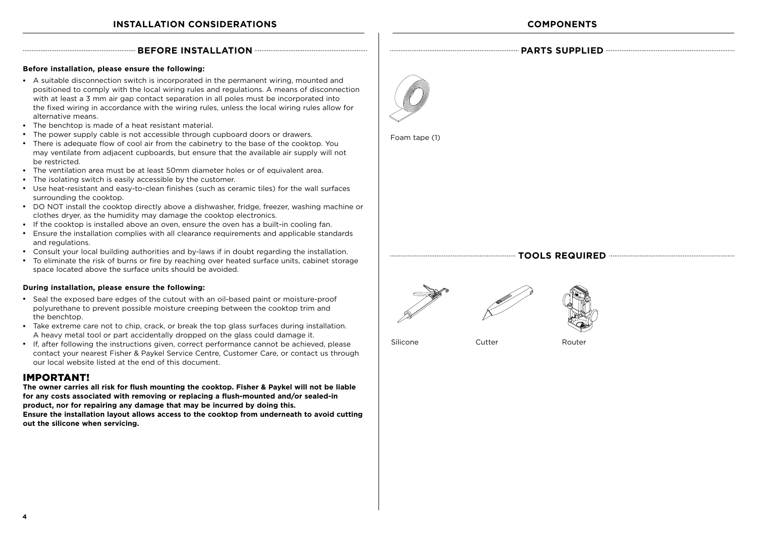#### **BEFORE INSTALLATION PARTS SUPPLIED PARTS SUPPLIED**

#### **Before installation, please ensure the following:**

- A suitable disconnection switch is incorporated in the permanent wiring, mounted and positioned to comply with the local wiring rules and regulations. A means of disconnection with at least a 3 mm air gap contact separation in all poles must be incorporated into the fixed wiring in accordance with the wiring rules, unless the local wiring rules allow for alternative means.
- The benchtop is made of a heat resistant material.
- The power supply cable is not accessible through cupboard doors or drawers.
- There is adequate flow of cool air from the cabinetry to the base of the cooktop. You may ventilate from adjacent cupboards, but ensure that the available air supply will not be restricted.
- The ventilation area must be at least 50mm diameter holes or of equivalent area.
- The isolating switch is easily accessible by the customer.
- Use heat-resistant and easy-to-clean finishes (such as ceramic tiles) for the wall surfaces surrounding the cooktop.
- DO NOT install the cooktop directly above a dishwasher, fridge, freezer, washing machine or clothes dryer, as the humidity may damage the cooktop electronics.
- If the cooktop is installed above an oven, ensure the oven has a built-in cooling fan.
- Ensure the installation complies with all clearance requirements and applicable standards and regulations.
- Consult your local building authorities and by-laws if in doubt regarding the installation.
- To eliminate the risk of burns or fire by reaching over heated surface units, cabinet storage space located above the surface units should be avoided.

#### **During installation, please ensure the following:**

- Seal the exposed bare edges of the cutout with an oil-based paint or moisture-proof polyurethane to prevent possible moisture creeping between the cooktop trim and the benchtop.
- Take extreme care not to chip, crack, or break the top glass surfaces during installation. A heavy metal tool or part accidentally dropped on the glass could damage it.
- If, after following the instructions given, correct performance cannot be achieved, please contact your nearest Fisher & Paykel Service Centre, Customer Care, or contact us through our local website listed at the end of this document.

### IMPORTANT!

**The owner carries all risk for flush mounting the cooktop. Fisher & Paykel will not be liable for any costs associated with removing or replacing a flush-mounted and/or sealed-in product, nor for repairing any damage that may be incurred by doing this. Ensure the installation layout allows access to the cooktop from underneath to avoid cutting** 

**out the silicone when servicing.** 



Foam tape (1)

#### **TOOLS REQUIRED**





Silicone Cutter Cutter Router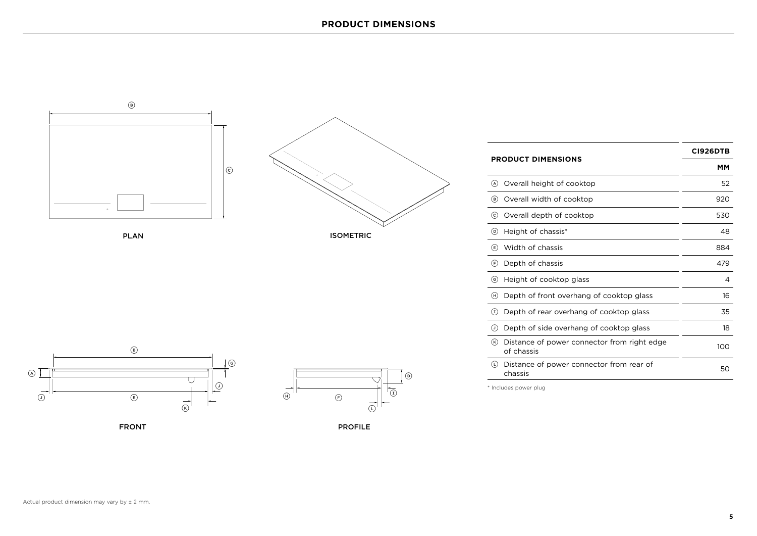

PLAN



|                                                                                    | <b>CI926DTB</b> |
|------------------------------------------------------------------------------------|-----------------|
| <b>PRODUCT DIMENSIONS</b>                                                          | мм              |
| Overall height of cooktop<br>(A)                                                   | 52              |
| Overall width of cooktop<br>(B)                                                    | 920             |
| Overall depth of cooktop<br>(c)                                                    | 530             |
| $\circ$<br>Height of chassis*                                                      | 48              |
| Width of chassis<br>$\bigcirc$                                                     | 884             |
| Depth of chassis<br>(F)                                                            | 479             |
| $\left( 6\right)$<br>Height of cooktop glass                                       | 4               |
| (H)<br>Depth of front overhang of cooktop glass                                    | 16              |
| $\textcircled{\scriptsize{\texttt{T}}}$<br>Depth of rear overhang of cooktop glass | 35              |
| Depth of side overhang of cooktop glass<br>$\left( \mathsf{r}\right)$              | 18              |
| $(\kappa)$<br>Distance of power connector from right edge<br>of chassis            | 100             |
| (L)<br>Distance of power connector from rear of<br>chassis                         | 50              |

\* Includes power plug







PROFILE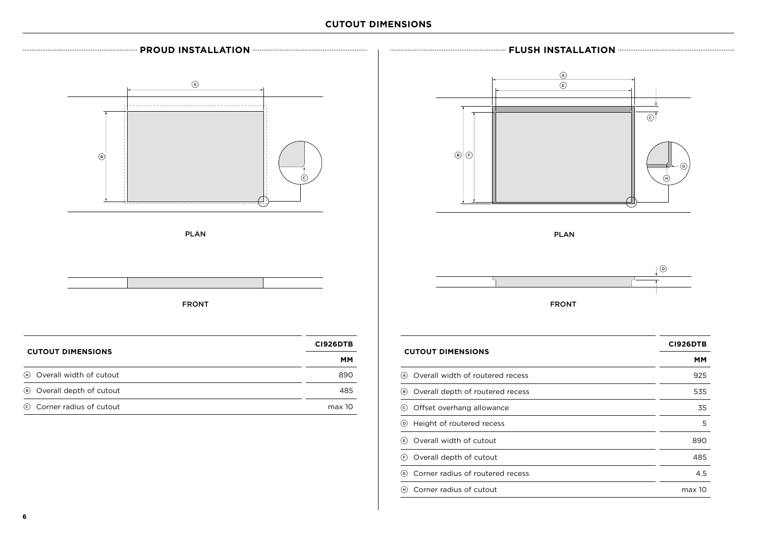### **CUTOUT DIMENSIONS**



F Overall depth of cutout 485 G Corner radius of routered recess 4.5 (iii) Corner radius of cutout max 10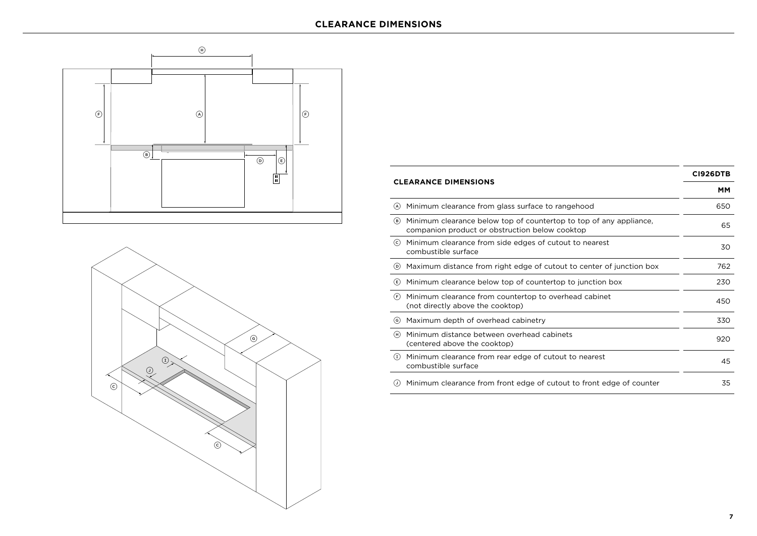



| <b>CLEARANCE DIMENSIONS</b>                                                                                                 | <b>CI926DTB</b> |
|-----------------------------------------------------------------------------------------------------------------------------|-----------------|
|                                                                                                                             | MМ              |
| Minimum clearance from glass surface to rangehood<br>(A)                                                                    | 650             |
| Minimum clearance below top of countertop to top of any appliance,<br>(B)<br>companion product or obstruction below cooktop | 65              |
| Minimum clearance from side edges of cutout to nearest<br>(c)<br>combustible surface                                        | 30              |
| Maximum distance from right edge of cutout to center of junction box<br>$\circ$                                             | 762             |
| Minimum clearance below top of countertop to junction box<br>(E)                                                            | 230             |
| (F)<br>Minimum clearance from countertop to overhead cabinet<br>(not directly above the cooktop)                            | 450             |
| Maximum depth of overhead cabinetry<br>$\mathsf{(G)}$                                                                       | 330             |
| Minimum distance between overhead cabinets<br>(H)<br>(centered above the cooktop)                                           | 920             |
| Minimum clearance from rear edge of cutout to nearest<br>$\textbf{I}$<br>combustible surface                                | 45              |
| Minimum clearance from front edge of cutout to front edge of counter<br>$\left( 1\right)$                                   | 35              |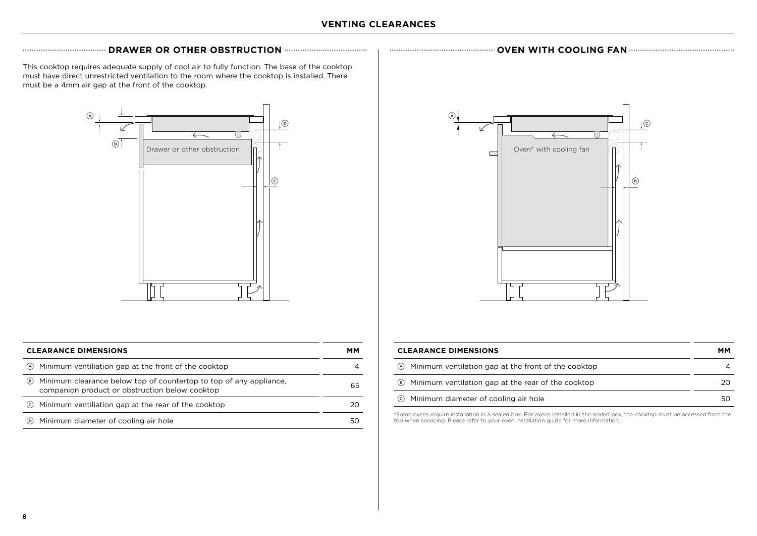### **DRAWER OR OTHER OBSTRUCTION OCCUPATED AND RELATION OVEN WITH COOLING FAN**

This cooktop requires adequate supply of cool air to fully function. The base of the cooktop must have direct unrestricted ventilation to the room where the cooktop is installed. There must be a 4mm air gap at the front of the cooktop.



| <b>CLEARANCE DIMENSIONS</b>                                                                                                 |    |
|-----------------------------------------------------------------------------------------------------------------------------|----|
| Minimum ventiliation gap at the front of the cooktop<br>(A)                                                                 |    |
| Minimum clearance below top of countertop to top of any appliance,<br>(B)<br>companion product or obstruction below cooktop | 65 |
| Minimum ventiliation gap at the rear of the cooktop<br>(c)                                                                  |    |
| Minimum diameter of cooling air hole<br>(D)                                                                                 |    |



| <b>CLEARANCE DIMENSIONS</b>                             |    |
|---------------------------------------------------------|----|
| (A) Minimum ventilation gap at the front of the cooktop |    |
| (B) Minimum ventilation gap at the rear of the cooktop  | 20 |
| © Minimum diameter of cooling air hole                  | 50 |

\*Some ovens require installation in a sealed box. For ovens installed in the sealed box, the cooktop must be accessed from the top when servicing. Please refer to your oven installation guide for more information.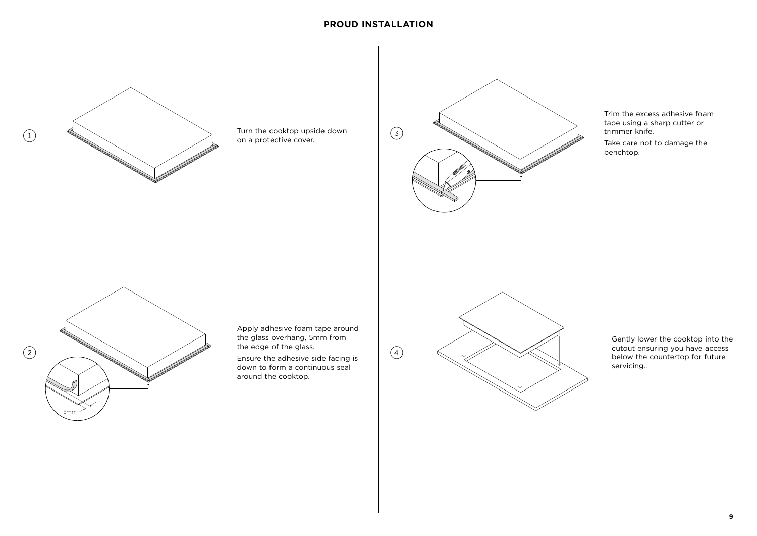



Trim the excess adhesive foam tape using a sharp cutter or trimmer knife. Take care not to damage the benchtop.



Apply adhesive foam tape around the glass overhang, 5mm from the edge of the glass.

Ensure the adhesive side facing is down to form a continuous seal around the cooktop.



Gently lower the cooktop into the cutout ensuring you have access below the countertop for future servicing..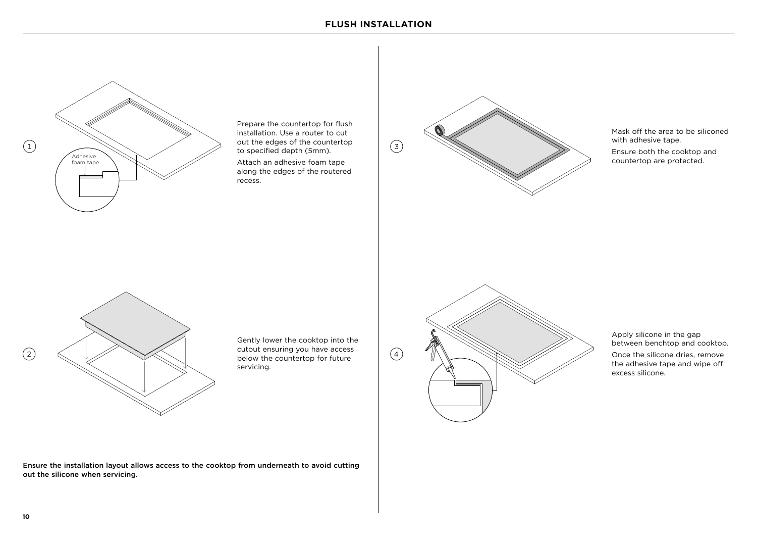

Prepare the countertop for flush installation. Use a router to cut out the edges of the countertop to specified depth (5mm).

Attach an adhesive foam tape along the edges of the routered recess.



Mask off the area to be siliconed with adhesive tape. Ensure both the cooktop and countertop are protected.



Gently lower the cooktop into the cutout ensuring you have access below the countertop for future servicing.



Apply silicone in the gap between benchtop and cooktop. Once the silicone dries, remove the adhesive tape and wipe off excess silicone.

Ensure the installation layout allows access to the cooktop from underneath to avoid cutting out the silicone when servicing.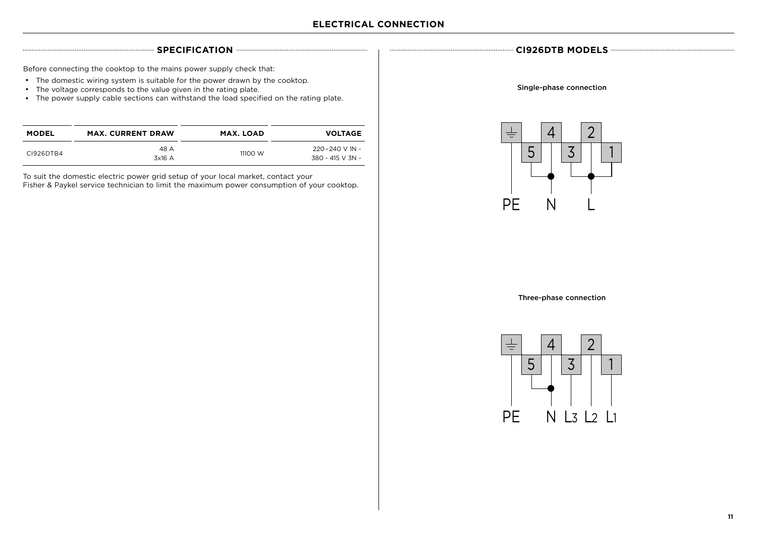Before connecting the cooktop to the mains power supply check that:

- The domestic wiring system is suitable for the power drawn by the cooktop.
- The voltage corresponds to the value given in the rating plate.
- The power supply cable sections can withstand the load specified on the rating plate.

| MODEL     | <b>MAX. CURRENT DRAW</b> | <b>MAX. LOAD</b> | <b>VOLTAGE</b>          |
|-----------|--------------------------|------------------|-------------------------|
|           | 48 A                     | 11100 W          | $220 - 240$ V 1N $\sim$ |
| C1926DTB4 | 3x16 A                   |                  | 380 - 415 V 3N ~        |

To suit the domestic electric power grid setup of your local market, contact your Fisher & Paykel service technician to limit the maximum power consumption of your cooktop.

**SPECIFICATION CI926DTB MODELS**

Single-phase connection



Three-phase connection

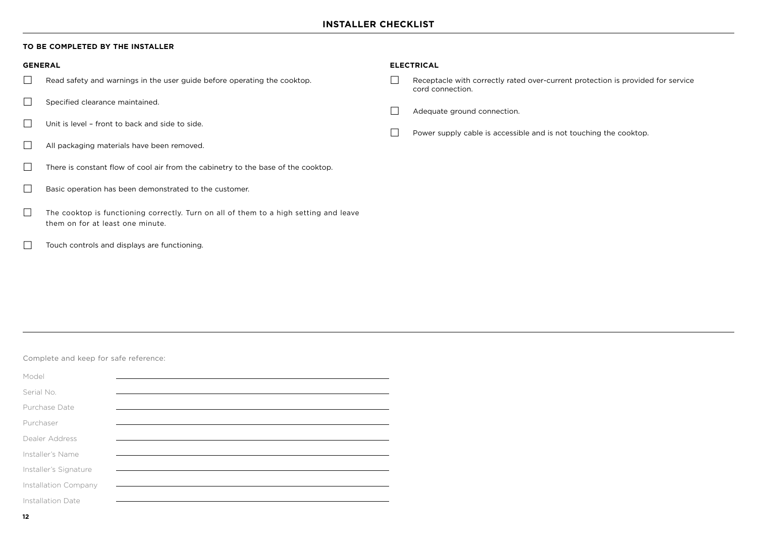#### **TO BE COMPLETED BY THE INSTALLER**

- $\Box$  Read safety and warnings in the user guide before operating the cooktop.
- $\Box$  Specified clearance maintained.
- $\Box$  Unit is level front to back and side to side.
- All packaging materials have been removed.
- $\Box$  There is constant flow of cool air from the cabinetry to the base of the cooktop.
- Basic operation has been demonstrated to the customer.
- $\Box$  The cooktop is functioning correctly. Turn on all of them to a high setting and leave them on for at least one minute.
- Touch controls and displays are functioning.

#### **GENERAL ELECTRICAL**

- Receptacle with correctly rated over-current protection is provided for service cord connection.
- Adequate ground connection.
- $\Box$  Power supply cable is accessible and is not touching the cooktop.

#### Complete and keep for safe reference:

| Model                 |  |
|-----------------------|--|
|                       |  |
| Serial No.            |  |
| Purchase Date         |  |
|                       |  |
| Purchaser             |  |
| Dealer Address        |  |
|                       |  |
| Installer's Name      |  |
|                       |  |
| Installer's Signature |  |
| Installation Company  |  |
|                       |  |
| Installation Date     |  |
|                       |  |